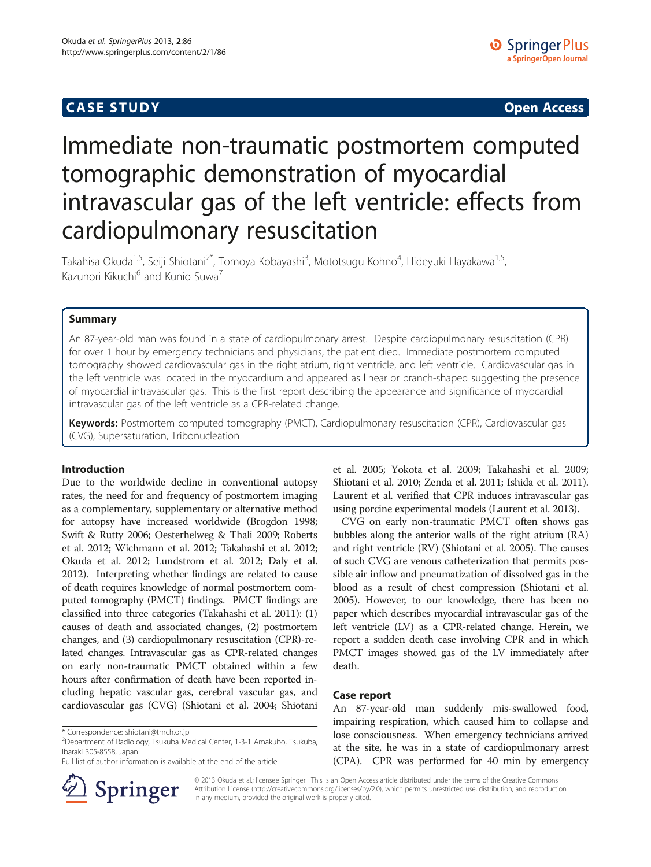## **CASE STUDY CASE STUDY Open Access**

# Immediate non-traumatic postmortem computed tomographic demonstration of myocardial intravascular gas of the left ventricle: effects from cardiopulmonary resuscitation

Takahisa Okuda<sup>1,5</sup>, Seiji Shiotani<sup>2\*</sup>, Tomoya Kobayashi<sup>3</sup>, Mototsugu Kohno<sup>4</sup>, Hideyuki Hayakawa<sup>1,5</sup>, Kazunori Kikuchi<sup>6</sup> and Kunio Suwa<sup>7</sup>

## **Summary**

An 87-year-old man was found in a state of cardiopulmonary arrest. Despite cardiopulmonary resuscitation (CPR) for over 1 hour by emergency technicians and physicians, the patient died. Immediate postmortem computed tomography showed cardiovascular gas in the right atrium, right ventricle, and left ventricle. Cardiovascular gas in the left ventricle was located in the myocardium and appeared as linear or branch-shaped suggesting the presence of myocardial intravascular gas. This is the first report describing the appearance and significance of myocardial intravascular gas of the left ventricle as a CPR-related change.

Keywords: Postmortem computed tomography (PMCT), Cardiopulmonary resuscitation (CPR), Cardiovascular gas (CVG), Supersaturation, Tribonucleation

## Introduction

Due to the worldwide decline in conventional autopsy rates, the need for and frequency of postmortem imaging as a complementary, supplementary or alternative method for autopsy have increased worldwide (Brogdon [1998](#page-2-0); Swift & Rutty [2006;](#page-3-0) Oesterhelweg & Thali [2009;](#page-3-0) Roberts et al. [2012](#page-3-0); Wichmann et al. [2012](#page-3-0); Takahashi et al. [2012](#page-3-0); Okuda et al. [2012](#page-3-0); Lundstrom et al. [2012](#page-3-0); Daly et al. [2012\)](#page-2-0). Interpreting whether findings are related to cause of death requires knowledge of normal postmortem computed tomography (PMCT) findings. PMCT findings are classified into three categories (Takahashi et al. [2011](#page-3-0)): (1) causes of death and associated changes, (2) postmortem changes, and (3) cardiopulmonary resuscitation (CPR)-related changes. Intravascular gas as CPR-related changes on early non-traumatic PMCT obtained within a few hours after confirmation of death have been reported including hepatic vascular gas, cerebral vascular gas, and cardiovascular gas (CVG) (Shiotani et al. [2004](#page-3-0); Shiotani

Full list of author information is available at the end of the article



et al. [2005;](#page-3-0) Yokota et al. [2009;](#page-3-0) Takahashi et al. [2009](#page-3-0); Shiotani et al. [2010;](#page-3-0) Zenda et al. [2011;](#page-3-0) Ishida et al. [2011](#page-3-0)). Laurent et al. verified that CPR induces intravascular gas using porcine experimental models (Laurent et al. [2013](#page-3-0)).

CVG on early non-traumatic PMCT often shows gas bubbles along the anterior walls of the right atrium (RA) and right ventricle (RV) (Shiotani et al. [2005](#page-3-0)). The causes of such CVG are venous catheterization that permits possible air inflow and pneumatization of dissolved gas in the blood as a result of chest compression (Shiotani et al. [2005\)](#page-3-0). However, to our knowledge, there has been no paper which describes myocardial intravascular gas of the left ventricle (LV) as a CPR-related change. Herein, we report a sudden death case involving CPR and in which PMCT images showed gas of the LV immediately after death.

## Case report

An 87-year-old man suddenly mis-swallowed food, impairing respiration, which caused him to collapse and lose consciousness. When emergency technicians arrived at the site, he was in a state of cardiopulmonary arrest (CPA). CPR was performed for 40 min by emergency

© 2013 Okuda et al.; licensee Springer. This is an Open Access article distributed under the terms of the Creative Commons Attribution License [\(http://creativecommons.org/licenses/by/2.0\)](http://creativecommons.org/licenses/by/2.0), which permits unrestricted use, distribution, and reproduction in any medium, provided the original work is properly cited.

<sup>\*</sup> Correspondence: [shiotani@tmch.or.jp](mailto:shiotani@tmch.or.jp) <sup>2</sup>

<sup>&</sup>lt;sup>2</sup>Department of Radiology, Tsukuba Medical Center, 1-3-1 Amakubo, Tsukuba, Ibaraki 305-8558, Japan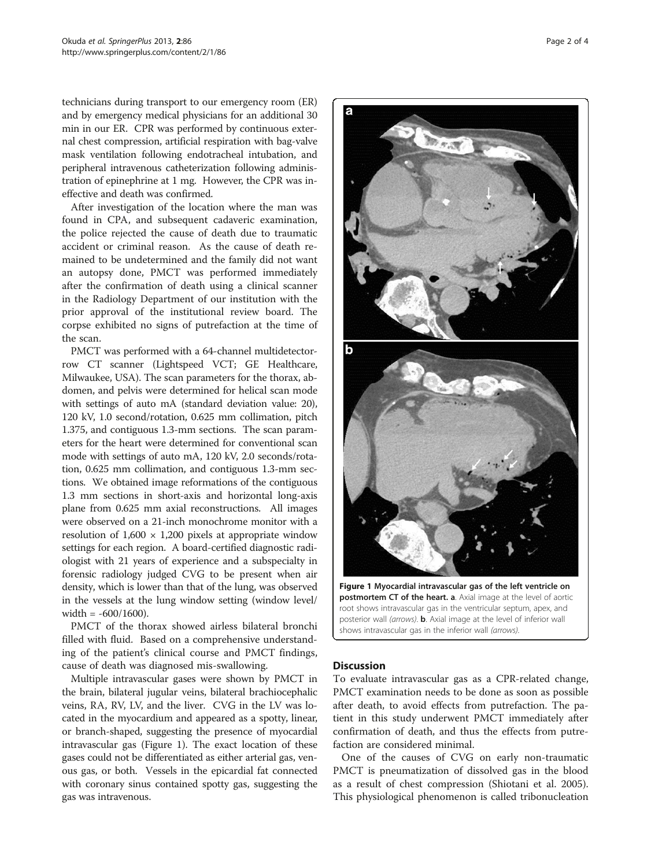technicians during transport to our emergency room (ER) and by emergency medical physicians for an additional 30 min in our ER. CPR was performed by continuous external chest compression, artificial respiration with bag-valve mask ventilation following endotracheal intubation, and peripheral intravenous catheterization following administration of epinephrine at 1 mg. However, the CPR was ineffective and death was confirmed.

After investigation of the location where the man was found in CPA, and subsequent cadaveric examination, the police rejected the cause of death due to traumatic accident or criminal reason. As the cause of death remained to be undetermined and the family did not want an autopsy done, PMCT was performed immediately after the confirmation of death using a clinical scanner in the Radiology Department of our institution with the prior approval of the institutional review board. The corpse exhibited no signs of putrefaction at the time of the scan.

PMCT was performed with a 64-channel multidetectorrow CT scanner (Lightspeed VCT; GE Healthcare, Milwaukee, USA). The scan parameters for the thorax, abdomen, and pelvis were determined for helical scan mode with settings of auto mA (standard deviation value: 20), 120 kV, 1.0 second/rotation, 0.625 mm collimation, pitch 1.375, and contiguous 1.3-mm sections. The scan parameters for the heart were determined for conventional scan mode with settings of auto mA, 120 kV, 2.0 seconds/rotation, 0.625 mm collimation, and contiguous 1.3-mm sections. We obtained image reformations of the contiguous 1.3 mm sections in short-axis and horizontal long-axis plane from 0.625 mm axial reconstructions. All images were observed on a 21-inch monochrome monitor with a resolution of  $1,600 \times 1,200$  pixels at appropriate window settings for each region. A board-certified diagnostic radiologist with 21 years of experience and a subspecialty in forensic radiology judged CVG to be present when air density, which is lower than that of the lung, was observed in the vessels at the lung window setting (window level/ width = -600/1600).

PMCT of the thorax showed airless bilateral bronchi filled with fluid. Based on a comprehensive understanding of the patient's clinical course and PMCT findings, cause of death was diagnosed mis-swallowing.

Multiple intravascular gases were shown by PMCT in the brain, bilateral jugular veins, bilateral brachiocephalic veins, RA, RV, LV, and the liver. CVG in the LV was located in the myocardium and appeared as a spotty, linear, or branch-shaped, suggesting the presence of myocardial intravascular gas (Figure 1). The exact location of these gases could not be differentiated as either arterial gas, venous gas, or both. Vessels in the epicardial fat connected with coronary sinus contained spotty gas, suggesting the gas was intravenous.



Figure 1 Myocardial intravascular gas of the left ventricle on postmortem CT of the heart. a. Axial image at the level of aortic root shows intravascular gas in the ventricular septum, apex, and posterior wall (arrows). **b**. Axial image at the level of inferior wall shows intravascular gas in the inferior wall (arrows).

### **Discussion**

To evaluate intravascular gas as a CPR-related change, PMCT examination needs to be done as soon as possible after death, to avoid effects from putrefaction. The patient in this study underwent PMCT immediately after confirmation of death, and thus the effects from putrefaction are considered minimal.

One of the causes of CVG on early non-traumatic PMCT is pneumatization of dissolved gas in the blood as a result of chest compression (Shiotani et al. [2005](#page-3-0)). This physiological phenomenon is called tribonucleation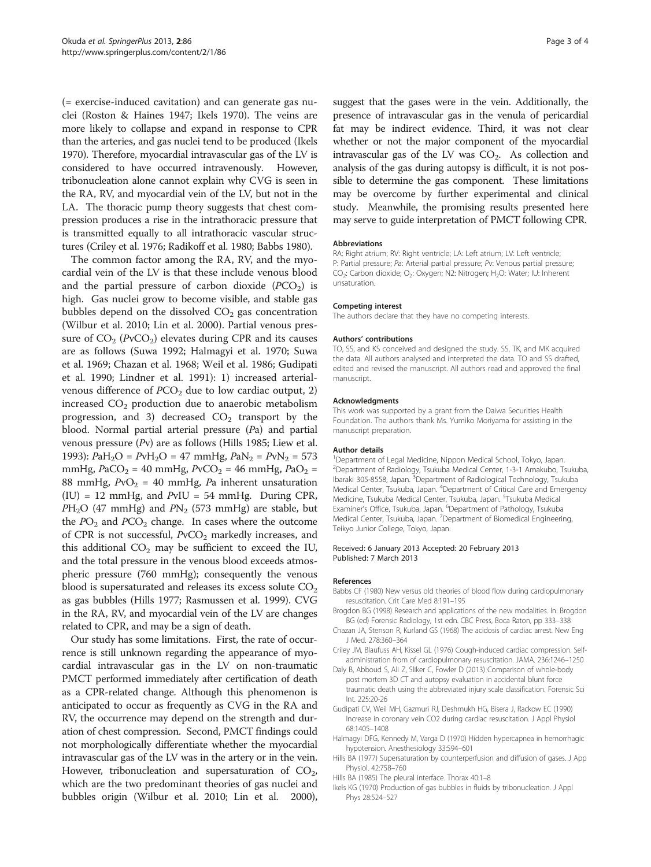<span id="page-2-0"></span>(= exercise-induced cavitation) and can generate gas nuclei (Roston & Haines [1947;](#page-3-0) Ikels 1970). The veins are more likely to collapse and expand in response to CPR than the arteries, and gas nuclei tend to be produced (Ikels 1970). Therefore, myocardial intravascular gas of the LV is considered to have occurred intravenously. However, tribonucleation alone cannot explain why CVG is seen in the RA, RV, and myocardial vein of the LV, but not in the LA. The thoracic pump theory suggests that chest compression produces a rise in the intrathoracic pressure that is transmitted equally to all intrathoracic vascular structures (Criley et al. 1976; Radikoff et al. [1980;](#page-3-0) Babbs 1980).

The common factor among the RA, RV, and the myocardial vein of the LV is that these include venous blood and the partial pressure of carbon dioxide  $(PCO<sub>2</sub>)$  is high. Gas nuclei grow to become visible, and stable gas bubbles depend on the dissolved  $CO<sub>2</sub>$  gas concentration (Wilbur et al. [2010](#page-3-0); Lin et al. [2000\)](#page-3-0). Partial venous pressure of  $CO_2$  (PvCO<sub>2</sub>) elevates during CPR and its causes are as follows (Suwa [1992;](#page-3-0) Halmagyi et al. 1970; Suwa et al. [1969;](#page-3-0) Chazan et al. 1968; Weil et al. [1986;](#page-3-0) Gudipati et al. 1990; Lindner et al. [1991](#page-3-0)): 1) increased arterialvenous difference of  $PCO<sub>2</sub>$  due to low cardiac output, 2) increased  $CO<sub>2</sub>$  production due to anaerobic metabolism progression, and 3) decreased  $CO<sub>2</sub>$  transport by the blood. Normal partial arterial pressure (Pa) and partial venous pressure (Pv) are as follows (Hills 1985; Liew et al. [1993\)](#page-3-0): PaH<sub>2</sub>O = PvH<sub>2</sub>O = 47 mmHg, PaN<sub>2</sub> = PvN<sub>2</sub> = 573 mmHg,  $PaCO<sub>2</sub> = 40$  mmHg,  $PvCO<sub>2</sub> = 46$  mmHg,  $PaO<sub>2</sub> =$ 88 mmHg,  $PvO<sub>2</sub> = 40$  mmHg, Pa inherent unsaturation (IU) = 12 mmHg, and PvIU = 54 mmHg. During CPR,  $PH<sub>2</sub>O$  (47 mmHg) and  $PN<sub>2</sub>$  (573 mmHg) are stable, but the  $PO_2$  and  $PCO_2$  change. In cases where the outcome of CPR is not successful,  $PvCO<sub>2</sub>$  markedly increases, and this additional  $CO<sub>2</sub>$  may be sufficient to exceed the IU, and the total pressure in the venous blood exceeds atmospheric pressure (760 mmHg); consequently the venous blood is supersaturated and releases its excess solute  $CO<sub>2</sub>$ as gas bubbles (Hills 1977; Rasmussen et al. [1999\)](#page-3-0). CVG in the RA, RV, and myocardial vein of the LV are changes related to CPR, and may be a sign of death.

Our study has some limitations. First, the rate of occurrence is still unknown regarding the appearance of myocardial intravascular gas in the LV on non-traumatic PMCT performed immediately after certification of death as a CPR-related change. Although this phenomenon is anticipated to occur as frequently as CVG in the RA and RV, the occurrence may depend on the strength and duration of chest compression. Second, PMCT findings could not morphologically differentiate whether the myocardial intravascular gas of the LV was in the artery or in the vein. However, tribonucleation and supersaturation of  $CO<sub>2</sub>$ , which are the two predominant theories of gas nuclei and bubbles origin (Wilbur et al. [2010](#page-3-0); Lin et al. [2000](#page-3-0)), suggest that the gases were in the vein. Additionally, the presence of intravascular gas in the venula of pericardial fat may be indirect evidence. Third, it was not clear whether or not the major component of the myocardial intravascular gas of the LV was  $CO<sub>2</sub>$ . As collection and analysis of the gas during autopsy is difficult, it is not possible to determine the gas component. These limitations may be overcome by further experimental and clinical study. Meanwhile, the promising results presented here may serve to guide interpretation of PMCT following CPR.

#### Abbreviations

RA: Right atrium; RV: Right ventricle; LA: Left atrium; LV: Left ventricle; P: Partial pressure; Pa: Arterial partial pressure; Pv: Venous partial pressure; CO<sub>2</sub>: Carbon dioxide; O<sub>2</sub>: Oxygen; N2: Nitrogen; H<sub>2</sub>O: Water; IU: Inherent unsaturation.

#### Competing interest

The authors declare that they have no competing interests.

#### Authors' contributions

TO, SS, and KS conceived and designed the study. SS, TK, and MK acquired the data. All authors analysed and interpreted the data. TO and SS drafted, edited and revised the manuscript. All authors read and approved the final manuscript.

#### Acknowledgments

This work was supported by a grant from the Daiwa Securities Health Foundation. The authors thank Ms. Yumiko Moriyama for assisting in the manuscript preparation.

#### Author details

<sup>1</sup>Department of Legal Medicine, Nippon Medical School, Tokyo, Japan <sup>2</sup>Department of Radiology, Tsukuba Medical Center, 1-3-1 Amakubo, Tsukuba Ibaraki 305-8558, Japan. <sup>3</sup> Department of Radiological Technology, Tsukuba Medical Center, Tsukuba, Japan. <sup>4</sup>Department of Critical Care and Emergency Medicine, Tsukuba Medical Center, Tsukuba, Japan. <sup>5</sup>Tsukuba Medical Examiner's Office, Tsukuba, Japan. <sup>6</sup>Department of Pathology, Tsukuba Medical Center, Tsukuba, Japan. <sup>7</sup> Department of Biomedical Engineering Teikyo Junior College, Tokyo, Japan.

#### Received: 6 January 2013 Accepted: 20 February 2013 Published: 7 March 2013

#### References

- Babbs CF (1980) New versus old theories of blood flow during cardiopulmonary resuscitation. Crit Care Med 8:191–195
- Brogdon BG (1998) Research and applications of the new modalities. In: Brogdon BG (ed) Forensic Radiology, 1st edn. CBC Press, Boca Raton, pp 333–338
- Chazan JA, Stenson R, Kurland GS (1968) The acidosis of cardiac arrest. New Eng J Med. 278:360–364
- Criley JM, Blaufuss AH, Kissel GL (1976) Cough-induced cardiac compression. Selfadministration from of cardiopulmonary resuscitation. JAMA. 236:1246–1250
- Daly B, Abboud S, Ali Z, Sliker C, Fowler D (2013) Comparison of whole-body post mortem 3D CT and autopsy evaluation in accidental blunt force traumatic death using the abbreviated injury scale classification. Forensic Sci Int. 225:20-26
- Gudipati CV, Weil MH, Gazmuri RJ, Deshmukh HG, Bisera J, Rackow EC (1990) Increase in coronary vein CO2 during cardiac resuscitation. J Appl Physiol 68:1405–1408
- Halmagyi DFG, Kennedy M, Varga D (1970) Hidden hypercapnea in hemorrhagic hypotension. Anesthesiology 33:594–601
- Hills BA (1977) Supersaturation by counterperfusion and diffusion of gases. J App Physiol. 42:758–760
- Hills BA (1985) The pleural interface. Thorax 40:1–8
- Ikels KG (1970) Production of gas bubbles in fluids by tribonucleation. J Appl Phys 28:524–527